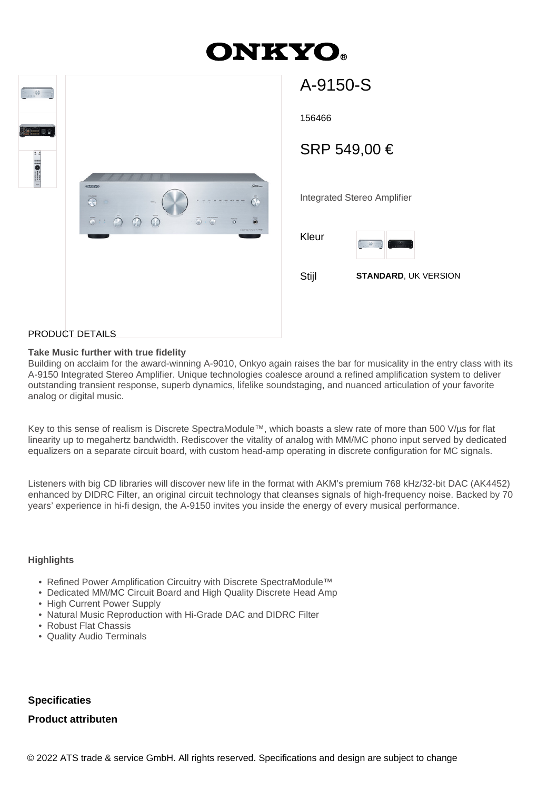# **DNKY**



| A-9150-S     |                                                                                                                                                                                     |  |
|--------------|-------------------------------------------------------------------------------------------------------------------------------------------------------------------------------------|--|
| 156466       |                                                                                                                                                                                     |  |
| SRP 549,00 € |                                                                                                                                                                                     |  |
|              | <b>Integrated Stereo Amplifier</b>                                                                                                                                                  |  |
| Kleur        | $\frac{1}{2} \int_{-\infty}^{\infty} \frac{d\theta}{\sqrt{2}} \, d\theta \, d\theta = \frac{1}{2} \int_{-\infty}^{\infty} \frac{d\theta}{\sqrt{2}} \, d\theta$<br><b>Foundation</b> |  |
| Stijl        | <b>STANDARD, UK VERSION</b>                                                                                                                                                         |  |
|              |                                                                                                                                                                                     |  |

#### PRODUCT DETAILS

#### **Take Music further with true fidelity**

Building on acclaim for the award-winning A-9010, Onkyo again raises the bar for musicality in the entry class with its A-9150 Integrated Stereo Amplifier. Unique technologies coalesce around a refined amplification system to deliver outstanding transient response, superb dynamics, lifelike soundstaging, and nuanced articulation of your favorite analog or digital music.

Key to this sense of realism is Discrete SpectraModule™, which boasts a slew rate of more than 500 V/µs for flat linearity up to megahertz bandwidth. Rediscover the vitality of analog with MM/MC phono input served by dedicated equalizers on a separate circuit board, with custom head-amp operating in discrete configuration for MC signals.

Listeners with big CD libraries will discover new life in the format with AKM's premium 768 kHz/32-bit DAC (AK4452) enhanced by DIDRC Filter, an original circuit technology that cleanses signals of high-frequency noise. Backed by 70 years' experience in hi-fi design, the A-9150 invites you inside the energy of every musical performance.

## **Highlights**

- Refined Power Amplification Circuitry with Discrete SpectraModule™
- Dedicated MM/MC Circuit Board and High Quality Discrete Head Amp
- High Current Power Supply
- Natural Music Reproduction with Hi-Grade DAC and DIDRC Filter
- Robust Flat Chassis
- Quality Audio Terminals

## **Specificaties**

## **Product attributen**